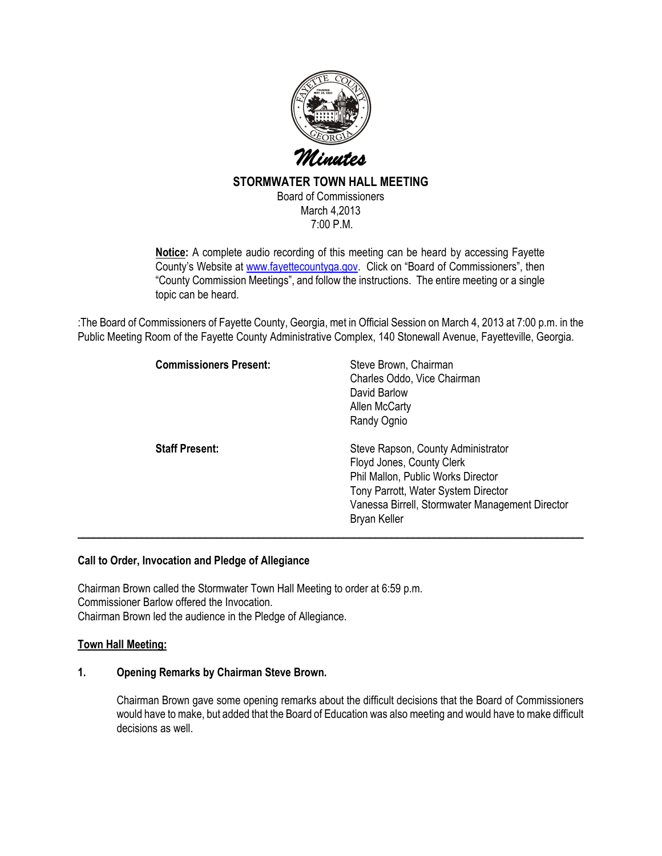

# STORMWATER TOWN HALL MEETING

Board of Commissioners March 4,2013 7:00 P.M.

Notice: A complete audio recording of this meeting can be heard by accessing Fayette County's Website at www.fayettecountyga.gov. Click on "Board of Commissioners", then "County Commission Meetings", and follow the instructions. The entire meeting or a single topic can be heard.

:The Board of Commissioners of Fayette County, Georgia, met in Official Session on March 4, 2013 at 7:00 p.m. in the Public Meeting Room of the Fayette County Administrative Complex, 140 Stonewall Avenue, Fayetteville, Georgia.

| <b>Commissioners Present:</b> | Steve Brown, Chairman<br>Charles Oddo, Vice Chairman<br>David Barlow<br><b>Allen McCarty</b><br>Randy Ognio                                                                                                     |
|-------------------------------|-----------------------------------------------------------------------------------------------------------------------------------------------------------------------------------------------------------------|
| <b>Staff Present:</b>         | Steve Rapson, County Administrator<br>Floyd Jones, County Clerk<br>Phil Mallon, Public Works Director<br>Tony Parrott, Water System Director<br>Vanessa Birrell, Stormwater Management Director<br>Bryan Keller |

### Call to Order, Invocation and Pledge of Allegiance

Chairman Brown called the Stormwater Town Hall Meeting to order at 6:59 p.m. Commissioner Barlow offered the Invocation. Chairman Brown led the audience in the Pledge of Allegiance.

### Town Hall Meeting:

# 1. Opening Remarks by Chairman Steve Brown.

Chairman Brown gave some opening remarks about the difficult decisions that the Board of Commissioners would have to make, but added that the Board of Education was also meeting and would have to make difficult decisions as well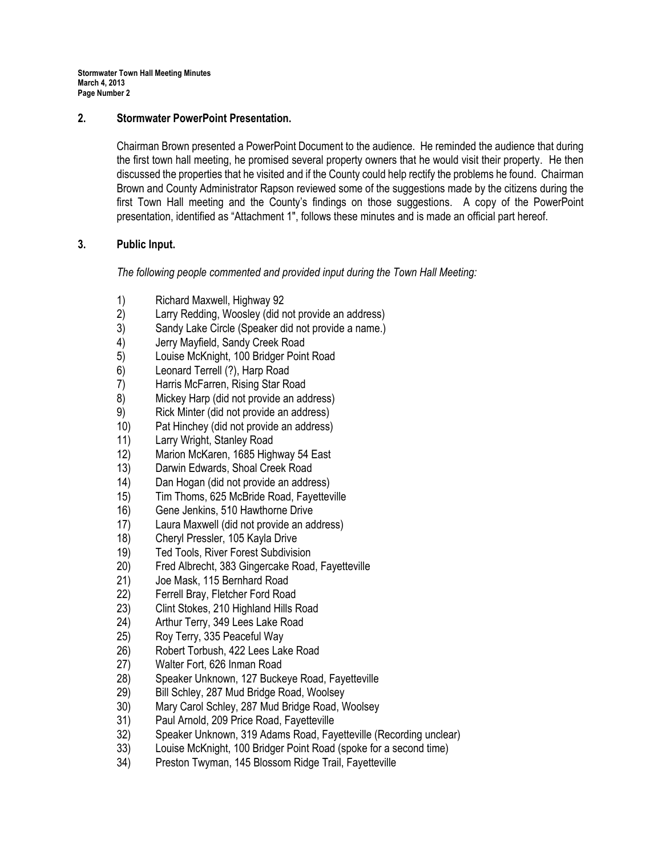## 2. Stormwater PowerPoint Presentation.

Chairman Brown presented a PowerPoint Document to the audience. He reminded the audience that during the first town hall meeting, he promised several property owners that he would visit their property. He then discussed the properties that he visited and if the County could help rectify the problems he found. Chairman Brown and County Administrator Rapson reviewed some of the suggestions made by the citizens during the first Town Hall meeting and the County's findings on those suggestions. A copy of the PowerPoint presentation, identified as "Attachment 1", follows these minutes and is made an official part hereof.

## 3. Public Input.

The following people commented and provided input during the Town Hall Meeting:

- 1) Richard Maxwell, Highway 92
- 2) Larry Redding, Woosley (did not provide an address)
- 3) Sandy Lake Circle (Speaker did not provide a name.)
- 4) Jerry Mayfield, Sandy Creek Road
- 5) Louise McKnight, 100 Bridger Point Road
- 6) Leonard Terrell (?), Harp Road
- 7) Harris McFarren, Rising Star Road
- 8) Mickey Harp (did not provide an address)
- 9) Rick Minter (did not provide an address)
- 10) Pat Hinchey (did not provide an address)
- 11) Larry Wright, Stanley Road
- 12) Marion McKaren, 1685 Highway 54 East
- 13) Darwin Edwards, Shoal Creek Road
- 14) Dan Hogan (did not provide an address)
- 15) Tim Thoms, 625 McBride Road, Fayetteville
- 
- 16) Gene Jenkins, 510 Hawthorne Drive<br>17) Laura Maxwell (did not provide an ac Laura Maxwell (did not provide an address)
- 18) Cheryl Pressler, 105 Kayla Drive
- 19) Ted Tools, River Forest Subdivision
- 20) Fred Albrecht, 383 Gingercake Road, Fayetteville
- 21) Joe Mask, 115 Bernhard Road
- 22) Ferrell Bray, Fletcher Ford Road
- 23) Clint Stokes, 210 Highland Hills Road
- 24) Arthur Terry, 349 Lees Lake Road
- 25) Roy Terry, 335 Peaceful Way
- 26) Robert Torbush, 422 Lees Lake Road
- 
- 27) Walter Fort, 626 Inman Road Speaker Unknown, 127 Buckeye Road, Fayetteville
- 29) Bill Schley, 287 Mud Bridge Road, Woolsey
- 30) Mary Carol Schley, 287 Mud Bridge Road, Woolsey
- 31) Paul Arnold, 209 Price Road, Fayetteville
- 32) Speaker Unknown, 319 Adams Road, Fayetteville (Recording unclear)
- 33) Louise McKnight, 100 Bridger Point Road (spoke for a second time)
- 34) Preston Twyman, 145 Blossom Ridge Trail, Fayetteville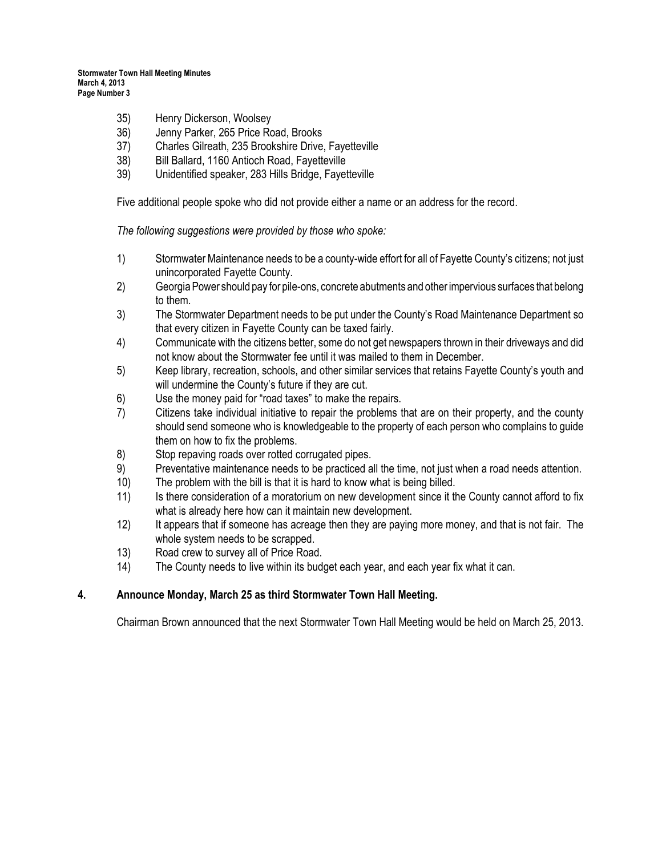- 35) Henry Dickerson, Woolsey
- 36) Jenny Parker, 265 Price Road, Brooks
- 37) Charles Gilreath, 235 Brookshire Drive, Fayetteville
- 38) Bill Ballard, 1160 Antioch Road, Fayetteville
- 39) Unidentified speaker, 283 Hills Bridge, Fayetteville

Five additional people spoke who did not provide either a name or an address for the record.

The following suggestions were provided by those who spoke:

- 1) Stormwater Maintenance needs to be a county-wide effort for all of Fayette County's citizens; not just unincorporated Fayette County.
- 2) Georgia Power should pay for pile-ons, concrete abutments and other impervious surfaces that belong to them.
- 3) The Stormwater Department needs to be put under the County's Road Maintenance Department so that every citizen in Fayette County can be taxed fairly.
- 4) Communicate with the citizens better, some do not get newspapers thrown in their driveways and did not know about the Stormwater fee until it was mailed to them in December.
- 5) Keep library, recreation, schools, and other similar services that retains Fayette County's youth and will undermine the County's future if they are cut.
- 6) Use the money paid for "road taxes" to make the repairs.
- 7) Citizens take individual initiative to repair the problems that are on their property, and the county should send someone who is knowledgeable to the property of each person who complains to guide them on how to fix the problems.
- 8) Stop repaving roads over rotted corrugated pipes.
- 9) Preventative maintenance needs to be practiced all the time, not just when a road needs attention.
- 10) The problem with the bill is that it is hard to know what is being billed.
- 11) Is there consideration of a moratorium on new development since it the County cannot afford to fix what is already here how can it maintain new development.
- 12) It appears that if someone has acreage then they are paying more money, and that is not fair. The whole system needs to be scrapped.
- 13) Road crew to survey all of Price Road.
- 14) The County needs to live within its budget each year, and each year fix what it can.

## 4. Announce Monday, March 25 as third Stormwater Town Hall Meeting.

Chairman Brown announced that the next Stormwater Town Hall Meeting would be held on March 25, 2013.